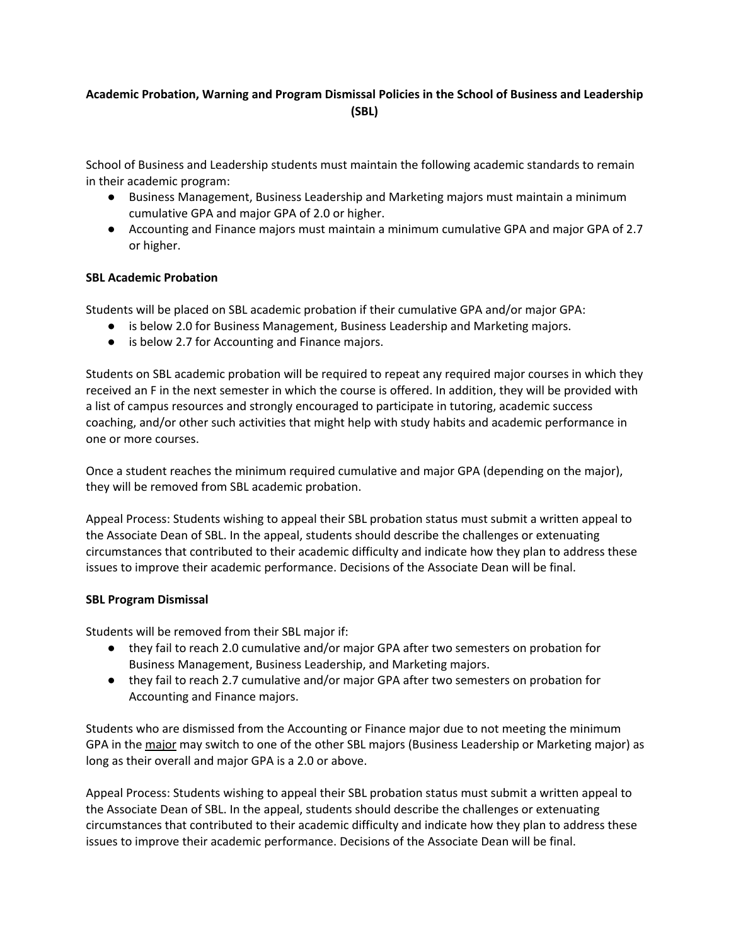## **Academic Probation, Warning and Program Dismissal Policies in the School of Business and Leadership (SBL)**

School of Business and Leadership students must maintain the following academic standards to remain in their academic program:

- Business Management, Business Leadership and Marketing majors must maintain a minimum cumulative GPA and major GPA of 2.0 or higher.
- Accounting and Finance majors must maintain a minimum cumulative GPA and major GPA of 2.7 or higher.

## **SBL Academic Probation**

Students will be placed on SBL academic probation if their cumulative GPA and/or major GPA:

- is below 2.0 for Business Management, Business Leadership and Marketing majors.
- is below 2.7 for Accounting and Finance majors.

Students on SBL academic probation will be required to repeat any required major courses in which they received an F in the next semester in which the course is offered. In addition, they will be provided with a list of campus resources and strongly encouraged to participate in tutoring, academic success coaching, and/or other such activities that might help with study habits and academic performance in one or more courses.

Once a student reaches the minimum required cumulative and major GPA (depending on the major), they will be removed from SBL academic probation.

Appeal Process: Students wishing to appeal their SBL probation status must submit a written appeal to the Associate Dean of SBL. In the appeal, students should describe the challenges or extenuating circumstances that contributed to their academic difficulty and indicate how they plan to address these issues to improve their academic performance. Decisions of the Associate Dean will be final.

## **SBL Program Dismissal**

Students will be removed from their SBL major if:

- they fail to reach 2.0 cumulative and/or major GPA after two semesters on probation for Business Management, Business Leadership, and Marketing majors.
- they fail to reach 2.7 cumulative and/or major GPA after two semesters on probation for Accounting and Finance majors.

Students who are dismissed from the Accounting or Finance major due to not meeting the minimum GPA in the major may switch to one of the other SBL majors (Business Leadership or Marketing major) as long as their overall and major GPA is a 2.0 or above.

Appeal Process: Students wishing to appeal their SBL probation status must submit a written appeal to the Associate Dean of SBL. In the appeal, students should describe the challenges or extenuating circumstances that contributed to their academic difficulty and indicate how they plan to address these issues to improve their academic performance. Decisions of the Associate Dean will be final.